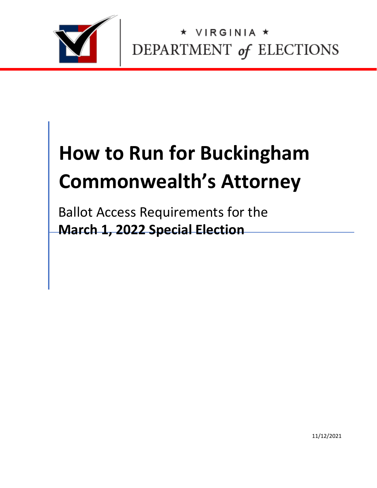

VIRGINIA \* DEPARTMENT of ELECTIONS

# **How to Run for Buckingham Commonwealth's Attorney**

Ballot Access Requirements for the **March 1, 2022 Special Election**

11/12/2021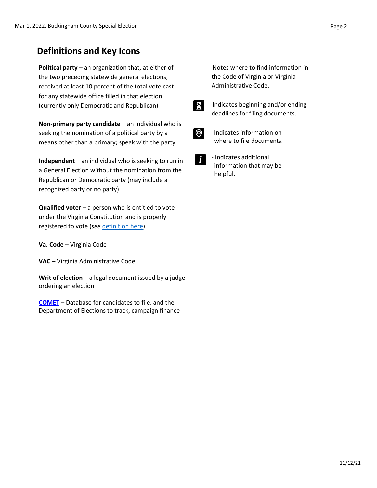**Political party** – an organization that, at either of the two preceding statewide general elections, received at least 10 percent of the total vote cast for any statewide office filled in that election (currently only Democratic and Republican)

**Non-primary party candidate** – an individual who is seeking the nomination of a political party by a means other than a primary; speak with the party

**Independent** – an individual who is seeking to run in a General Election without the nomination from the Republican or Democratic party (may include a recognized party or no party)

**Qualified voter** – a person who is entitled to vote under the Virginia Constitution and is properly registered to vote (*see* [definition here\)](https://law.lis.virginia.gov/vacode/title24.2/chapter1/section24.2-101/)

**Va. Code** – Virginia Code

**VAC** – Virginia Administrative Code

**Writ of election** – a legal document issued by a judge ordering an election

**[COMET](https://cf.elections.virginia.gov/Account/LogOn?ReturnUrl=%2f)** – Database for candidates to file, and the Department of Elections to track, campaign finance

- Notes where to find information in the Code of Virginia or Virginia Administrative Code.
- X

 - Indicates beginning and/or ending deadlines for filing documents.



- Indicates information on where to file documents.
- - Indicates additional information that may be helpful.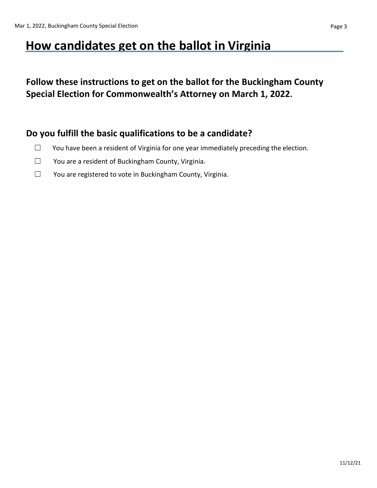# **How candidates get on the ballot in Virginia**

## **Follow these instructions to get on the ballot for the Buckingham County Special Election for Commonwealth's Attorney on March 1, 2022.**

#### **Do you fulfill the basic qualifications to be a candidate?**

- $\Box$  You have been a resident of Virginia for one year immediately preceding the election.
- ☐ You are a resident of Buckingham County, Virginia.
- ☐ You are registered to vote in Buckingham County, Virginia.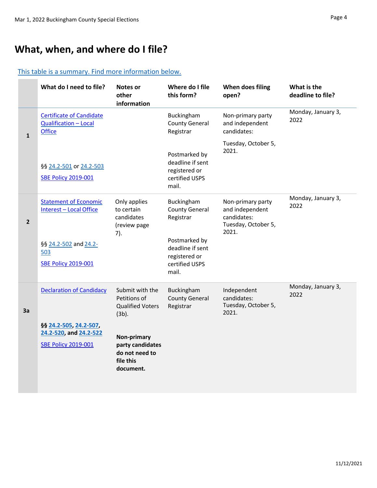#### [This table is a summary. Find more information below.](#page-5-0)

|                | What do I need to file?                                                                                                      | <b>Notes or</b><br>other<br>information                                                                                                               | Where do I file<br>this form?                                                                                                     | When does filing<br>open?                                                           | What is the<br>deadline to file? |
|----------------|------------------------------------------------------------------------------------------------------------------------------|-------------------------------------------------------------------------------------------------------------------------------------------------------|-----------------------------------------------------------------------------------------------------------------------------------|-------------------------------------------------------------------------------------|----------------------------------|
| $\mathbf 1$    | <b>Certificate of Candidate</b><br>Qualification - Local<br><b>Office</b>                                                    |                                                                                                                                                       | Buckingham<br><b>County General</b><br>Registrar                                                                                  | Non-primary party<br>and independent<br>candidates:                                 | Monday, January 3,<br>2022       |
|                | §§ 24.2-501 or 24.2-503<br><b>SBE Policy 2019-001</b>                                                                        |                                                                                                                                                       | Postmarked by<br>deadline if sent<br>registered or<br>certified USPS<br>mail.                                                     | Tuesday, October 5,<br>2021.                                                        |                                  |
| $\overline{2}$ | <b>Statement of Economic</b><br><b>Interest - Local Office</b><br>§§ 24.2-502 and 24.2-<br>503<br><b>SBE Policy 2019-001</b> | Only applies<br>to certain<br>candidates<br>(review page<br>7).                                                                                       | Buckingham<br><b>County General</b><br>Registrar<br>Postmarked by<br>deadline if sent<br>registered or<br>certified USPS<br>mail. | Non-primary party<br>and independent<br>candidates:<br>Tuesday, October 5,<br>2021. | Monday, January 3,<br>2022       |
| 3a             | <b>Declaration of Candidacy</b><br>§§ 24.2-505, 24.2-507,<br>24.2-520, and 24.2-522<br><b>SBE Policy 2019-001</b>            | Submit with the<br>Petitions of<br><b>Qualified Voters</b><br>$(3b)$ .<br>Non-primary<br>party candidates<br>do not need to<br>file this<br>document. | Buckingham<br><b>County General</b><br>Registrar                                                                                  | Independent<br>candidates:<br>Tuesday, October 5,<br>2021.                          | Monday, January 3,<br>2022       |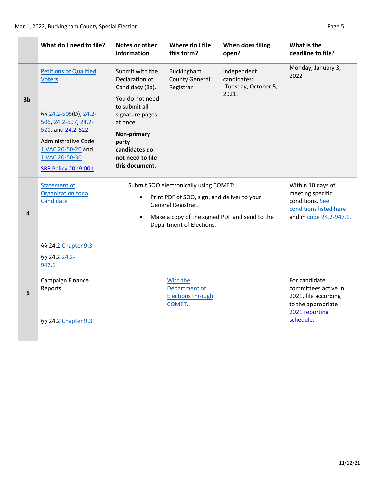#### Mar 1, 2022, Buckingham County Special Election **Page 1** and 2012 12:00 Page 5

|                | What do I need to file?                                                                                                                                                | Notes or other<br>information                                                                                                                                                                         | Where do I file<br>this form?                                   | When does filing<br>open?                                                                                     | What is the<br>deadline to file?                                                                                   |
|----------------|------------------------------------------------------------------------------------------------------------------------------------------------------------------------|-------------------------------------------------------------------------------------------------------------------------------------------------------------------------------------------------------|-----------------------------------------------------------------|---------------------------------------------------------------------------------------------------------------|--------------------------------------------------------------------------------------------------------------------|
|                | <b>Petitions of Qualified</b><br><b>Voters</b>                                                                                                                         | Submit with the<br>Declaration of<br>Candidacy (3a).                                                                                                                                                  | Buckingham<br><b>County General</b><br>Registrar                | Independent<br>candidates:<br>Tuesday, October 5,                                                             | Monday, January 3,<br>2022                                                                                         |
| 3 <sub>b</sub> | §§ 24.2-505(D), 24.2-<br>506, 24.2-507, 24.2-<br>521, and 24.2-522<br><b>Administrative Code</b><br>1 VAC 20-50-20 and<br>1 VAC 20-50-30<br><b>SBE Policy 2019-001</b> | You do not need<br>to submit all<br>signature pages<br>at once.<br>Non-primary<br>party<br>candidates do<br>not need to file<br>this document.                                                        |                                                                 | 2021.                                                                                                         |                                                                                                                    |
| 4              | <b>Statement of</b><br>Organization for a<br>Candidate<br>§§ 24.2 Chapter 9.3<br>§§ 24.2 24.2-<br>947.1                                                                | Submit SOO electronically using COMET:<br>Print PDF of SOO, sign, and deliver to your<br>$\bullet$<br>General Registrar.<br>Make a copy of the signed PDF and send to the<br>Department of Elections. |                                                                 | Within 10 days of<br>meeting specific<br>conditions. See<br>conditions listed here<br>and in code 24.2-947.1. |                                                                                                                    |
| 5              | Campaign Finance<br>Reports<br>§§ 24.2 Chapter 9.3                                                                                                                     |                                                                                                                                                                                                       | With the<br>Department of<br><b>Elections through</b><br>COMET. |                                                                                                               | For candidate<br>committees active in<br>2021, file according<br>to the appropriate<br>2021 reporting<br>schedule. |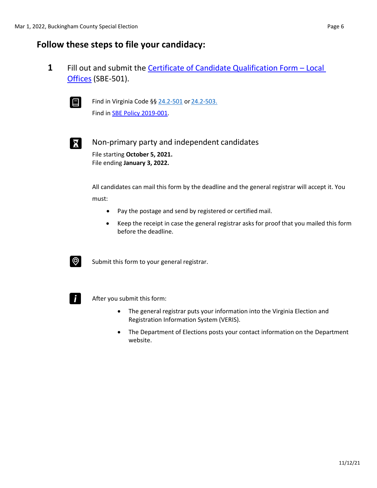#### <span id="page-5-0"></span>**Follow these steps to file your candidacy:**

**1** Fill out and submit the [Certificate of Candidate Qualification Form](https://www.elections.virginia.gov/media/formswarehouse/campaign-finance/2018/candidates/SBE_501_4-rev7-18.pdf) – Loca[l](https://www.elections.virginia.gov/media/formswarehouse/campaign-finance/2018/candidates/SBE_501_4-rev7-18.pdf) [Offices](https://www.elections.virginia.gov/media/formswarehouse/campaign-finance/2018/candidates/SBE_501_4-rev7-18.pdf) (SBE-501).



**E** Find in Virginia Code §§  $24.2 - 501$  or  $24.2 - 503$ . Find in [SBE Policy 2019-001.](https://www.elections.virginia.gov/media/electionadministration/electionlaw/2019_001_SBE_policy_10_29.pdf)



Non-primary party and independent candidates File starting **October 5, 2021.** File ending **January 3, 2022.**

> All candidates can mail this form by the deadline and the general registrar will accept it. You must:

- Pay the postage and send by registered or certified mail.
- Keep the receipt in case the general registrar asks for proof that you mailed this form before the deadline.



 $\circled{Q}$  Submit this form to your general registrar.



 $\mathsf{F}$  After you submit this form:

- The general registrar puts your information into the Virginia Election and Registration Information System (VERIS).
- The Department of Elections posts your contact information on the Department website.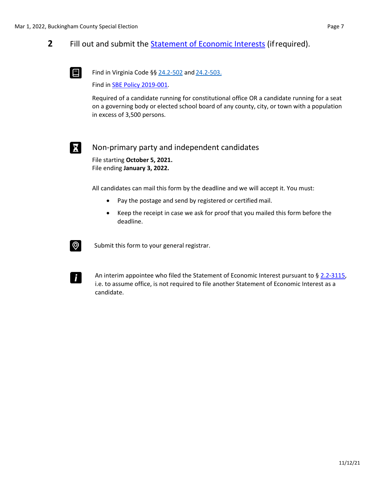#### **2** Fill out and submit the [Statement of Economic Interests](https://www.elections.virginia.gov/media/SOEI-State-and-Local-Statement-of-Economic-Interests.pdf) (ifrequired).



Find in Virginia Code §§  $24.2 - 502$  and  $24.2 - 503$ .

Find in [SBE Policy 2019-001.](https://www.elections.virginia.gov/media/electionadministration/electionlaw/2019_001_SBE_policy_10_29.pdf)

Required of a candidate running for constitutional office OR a candidate running for a seat on a governing body or elected school board of any county, city, or town with a population in excess of 3,500 persons.



#### Non-primary party and independent candidates

File starting **October 5, 2021.** File ending **January 3, 2022.**

All candidates can mail this form by the deadline and we will accept it. You must:

- Pay the postage and send by registered or certified mail.
- Keep the receipt in case we ask for proof that you mailed this form before the deadline.



Submit this form to your general registrar.



An interim appointee who filed the Statement of Economic Interest pursuant to [§ 2.2-3115,](https://law.lis.virginia.gov/vacode/title2.2/chapter31/section2.2-3115/) i.e. to assume office, is not required to file another Statement of Economic Interest as a candidate.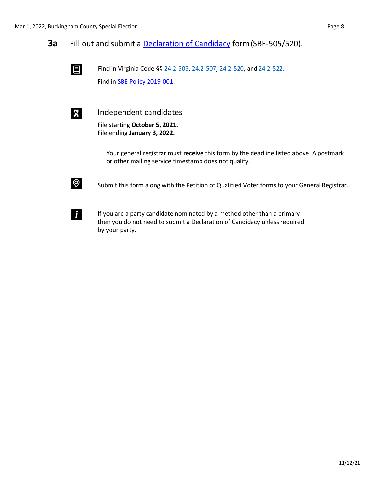

Find in Virginia Code §§ [24.2-505,](https://law.lis.virginia.gov/vacode/title24.2/chapter5/section24.2-505/) [24.2-507, 24.2-520,](https://law.lis.virginia.gov/vacode/title24.2/chapter5/section24.2-507/) and [24.2-522.](https://law.lis.virginia.gov/vacode/title24.2/chapter5/section24.2-522/) Find in [SBE Policy 2019-001.](https://www.elections.virginia.gov/media/electionadministration/electionlaw/2019_001_SBE_policy_10_29.pdf)



**Independent candidates** 

File starting **October 5, 2021.** File ending **January 3, 2022.**

> Your general registrar must **receive** this form by the deadline listed above. A postmark or other mailing service timestamp does not qualify.



Submit this form along with the Petition of Qualified Voter forms to your General Registrar.



If you are a party candidate nominated by a method other than a primary then you do not need to submit a Declaration of Candidacy unless required by your party.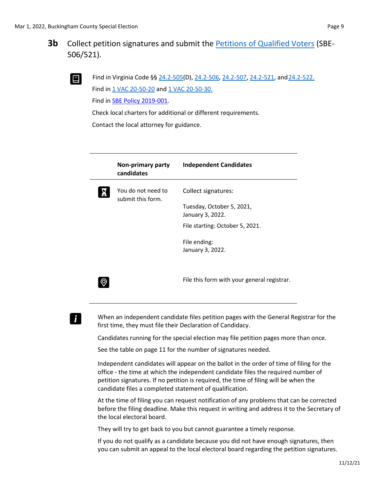

Find in Virginia Code §§ [24.2-505\(](https://law.lis.virginia.gov/vacode/title24.2/chapter5/section24.2-505/)D), [24.2-506, 24.2-507,](https://law.lis.virginia.gov/vacode/title24.2/chapter5/section24.2-506/) [24.2-521, a](https://law.lis.virginia.gov/vacode/title24.2/chapter5/section24.2-521/)nd 24.2-522. Find in [1 VAC 20-50-20](https://law.lis.virginia.gov/admincode/title1/agency20/chapter50/section20/) and [1 VAC 20-50-30.](https://law.lis.virginia.gov/admincode/title1/agency20/chapter50/section30/)

Find in [SBE Policy 2019-001.](https://www.elections.virginia.gov/media/electionadministration/electionlaw/2019_001_SBE_policy_10_29.pdf)

Check local charters for additional or different requirements.

Contact the local attorney for guidance.

| Non-primary party<br>candidates         | <b>Independent Candidates</b>                                        |
|-----------------------------------------|----------------------------------------------------------------------|
| You do not need to<br>submit this form. | Collect signatures:<br>Tuesday, October 5, 2021,<br>January 3, 2022. |
|                                         | File starting: October 5, 2021.                                      |
|                                         | File ending:<br>January 3, 2022.                                     |
|                                         | File this form with your general registrar.                          |

# i.

When an independent candidate files petition pages with the General Registrar for the first time, they must file their Declaration of Candidacy.

Candidates running for the special election may file petition pages more than once.

See the table on page 11 for the number of signatures needed.

Independent candidates will appear on the ballot in the order of time of filing for the office - the time at which the independent candidate files the required number of petition signatures. If no petition is required, the time of filing will be when the candidate files a completed statement of qualification.

At the time of filing you can request notification of any problems that can be corrected before the filing deadline. Make this request in writing and address it to the Secretary of the local electoral board.

They will try to get back to you but cannot guarantee a timely response.

If you do not qualify as a candidate because you did not have enough signatures, then you can submit an appeal to the local electoral board regarding the petition signatures.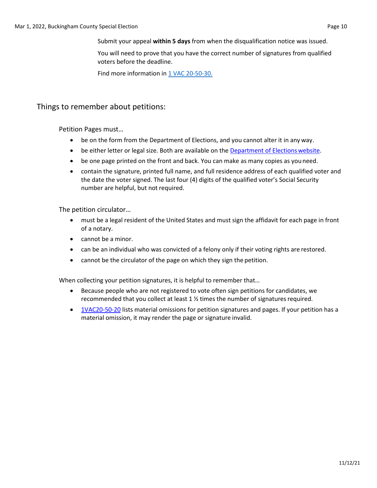Submit your appeal **within 5 days** from when the disqualification notice was issued.

You will need to prove that you have the correct number of signatures from qualified voters before the deadline.

Find more information in [1 VAC 20-50-30.](https://law.lis.virginia.gov/admincode/title1/agency20/chapter50/section30/)

#### Things to remember about petitions:

Petition Pages must…

- be on the form from the Department of Elections, and you cannot alter it in any way.
- be either letter or legal size. Both are available on the [Department of Elections](https://www.elections.virginia.gov/candidatepac-info/candidate-forms/index.html) website.
- be one page printed on the front and back. You can make as many copies as youneed.
- contain the signature, printed full name, and full residence address of each qualified voter and the date the voter signed. The last four (4) digits of the qualified voter's Social Security number are helpful, but not required.

The petition circulator…

- must be a legal resident of the United States and must sign the affidavit for each page in front of a notary.
- cannot be a minor.
- can be an individual who was convicted of a felony only if their voting rights are restored.
- cannot be the circulator of the page on which they sign the petition.

When collecting your petition signatures, it is helpful to remember that…

- Because people who are not registered to vote often sign petitions for candidates, we recommended that you collect at least  $1 \frac{1}{2}$  times the number of signatures required.
- [1VAC20-50-20](https://law.lis.virginia.gov/admincode/title1/agency20/chapter50/section20/) lists material omissions for petition signatures and pages. If your petition has a material omission, it may render the page or signature invalid.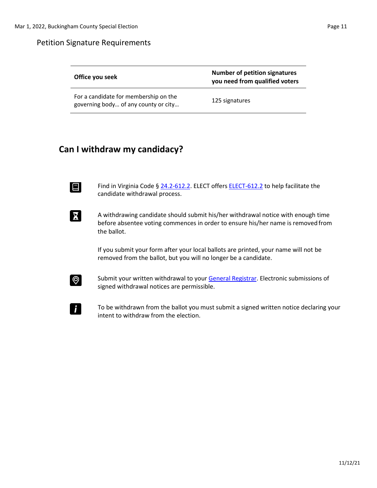#### Petition Signature Requirements

| Office you seek                                                               | <b>Number of petition signatures</b><br>you need from qualified voters |
|-------------------------------------------------------------------------------|------------------------------------------------------------------------|
| For a candidate for membership on the<br>governing body of any county or city | 125 signatures                                                         |

### **Can I withdraw my candidacy?**

Find in Virginia Code §  $24.2$ -612.2. ELECT offers **ELECT-612.2** to help facilitate the candidate withdrawal process.

A withdrawing candidate should submit his/her withdrawal notice with enough time before absentee voting commences in order to ensure his/her name is removed from the ballot.

> If you submit your form after your local ballots are printed, your name will not be removed from the ballot, but you will no longer be a candidate.



Submit your written withdrawal to your [General Registrar.](https://vote.elections.virginia.gov/VoterInformation/PublicContactLookup) Electronic submissions of signed withdrawal notices are permissible.

To be withdrawn from the ballot you must submit a signed written notice declaring your intent to withdraw from the election.